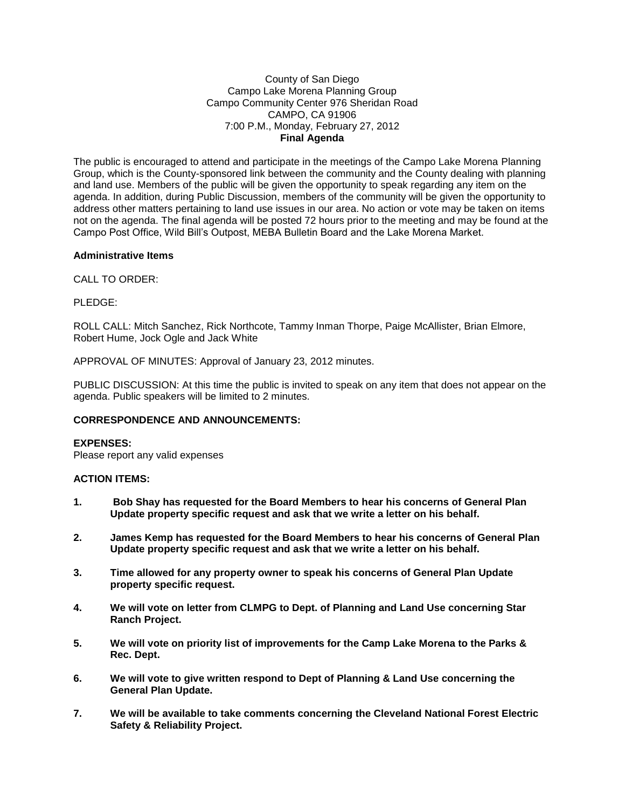### County of San Diego Campo Lake Morena Planning Group Campo Community Center 976 Sheridan Road CAMPO, CA 91906 7:00 P.M., Monday, February 27, 2012 **Final Agenda**

The public is encouraged to attend and participate in the meetings of the Campo Lake Morena Planning Group, which is the County-sponsored link between the community and the County dealing with planning and land use. Members of the public will be given the opportunity to speak regarding any item on the agenda. In addition, during Public Discussion, members of the community will be given the opportunity to address other matters pertaining to land use issues in our area. No action or vote may be taken on items not on the agenda. The final agenda will be posted 72 hours prior to the meeting and may be found at the Campo Post Office, Wild Bill's Outpost, MEBA Bulletin Board and the Lake Morena Market.

#### **Administrative Items**

CALL TO ORDER:

PLEDGE:

ROLL CALL: Mitch Sanchez, Rick Northcote, Tammy Inman Thorpe, Paige McAllister, Brian Elmore, Robert Hume, Jock Ogle and Jack White

APPROVAL OF MINUTES: Approval of January 23, 2012 minutes.

PUBLIC DISCUSSION: At this time the public is invited to speak on any item that does not appear on the agenda. Public speakers will be limited to 2 minutes.

## **CORRESPONDENCE AND ANNOUNCEMENTS:**

#### **EXPENSES:**

Please report any valid expenses

### **ACTION ITEMS:**

- **1. Bob Shay has requested for the Board Members to hear his concerns of General Plan Update property specific request and ask that we write a letter on his behalf.**
- **2. James Kemp has requested for the Board Members to hear his concerns of General Plan Update property specific request and ask that we write a letter on his behalf.**
- **3. Time allowed for any property owner to speak his concerns of General Plan Update property specific request.**
- **4. We will vote on letter from CLMPG to Dept. of Planning and Land Use concerning Star Ranch Project.**
- **5. We will vote on priority list of improvements for the Camp Lake Morena to the Parks & Rec. Dept.**
- **6. We will vote to give written respond to Dept of Planning & Land Use concerning the General Plan Update.**
- **7. We will be available to take comments concerning the Cleveland National Forest Electric Safety & Reliability Project.**